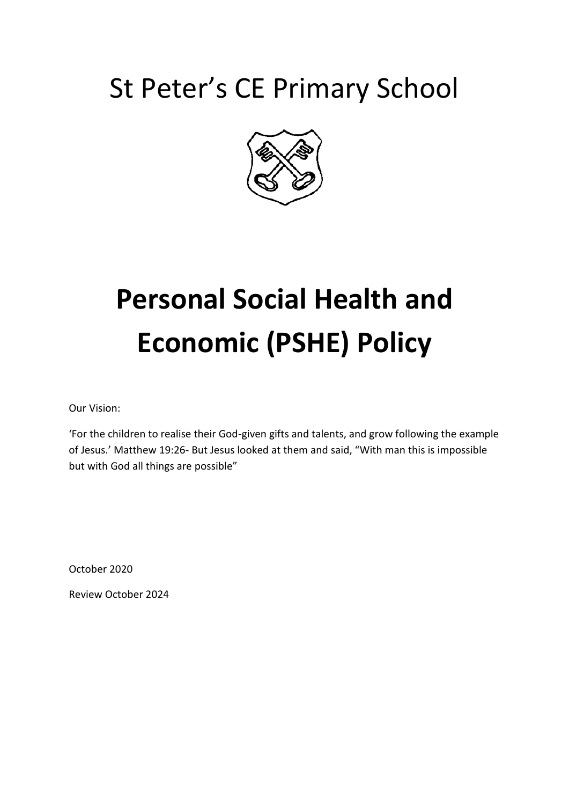# St Peter's CE Primary School



# **Personal Social Health and Economic (PSHE) Policy**

Our Vision:

'For the children to realise their God-given gifts and talents, and grow following the example of Jesus.' Matthew 19:26- But Jesus looked at them and said, "With man this is impossible but with God all things are possible"

October 2020

Review October 2024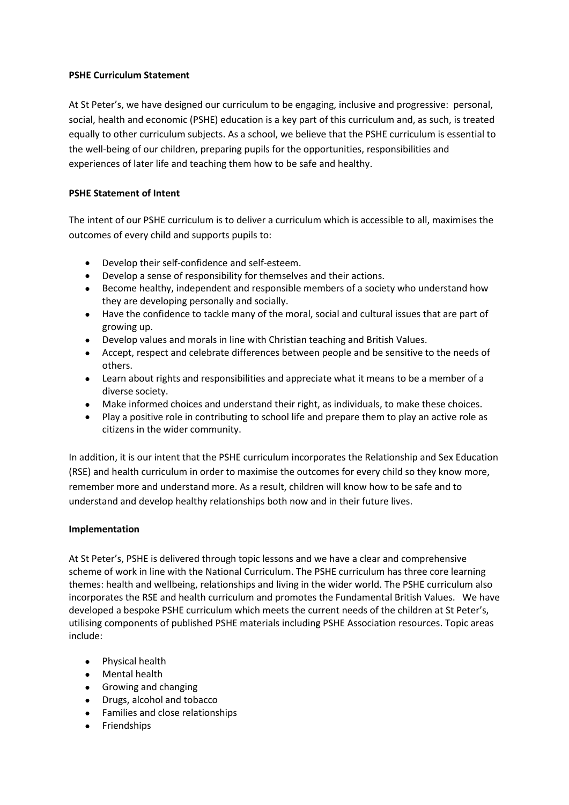# **PSHE Curriculum Statement**

At St Peter's, we have designed our curriculum to be engaging, inclusive and progressive: personal, social, health and economic (PSHE) education is a key part of this curriculum and, as such, is treated equally to other curriculum subjects. As a school, we believe that the PSHE curriculum is essential to the well-being of our children, preparing pupils for the opportunities, responsibilities and experiences of later life and teaching them how to be safe and healthy.

# **PSHE Statement of Intent**

The intent of our PSHE curriculum is to deliver a curriculum which is accessible to all, maximises the outcomes of every child and supports pupils to:

- Develop their self-confidence and self-esteem.
- Develop a sense of responsibility for themselves and their actions.
- Become healthy, independent and responsible members of a society who understand how they are developing personally and socially.
- Have the confidence to tackle many of the moral, social and cultural issues that are part of growing up.
- Develop values and morals in line with Christian teaching and British Values.
- Accept, respect and celebrate differences between people and be sensitive to the needs of others.
- Learn about rights and responsibilities and appreciate what it means to be a member of a diverse society.
- Make informed choices and understand their right, as individuals, to make these choices.
- Play a positive role in contributing to school life and prepare them to play an active role as citizens in the wider community.

In addition, it is our intent that the PSHE curriculum incorporates the Relationship and Sex Education (RSE) and health curriculum in order to maximise the outcomes for every child so they know more, remember more and understand more. As a result, children will know how to be safe and to understand and develop healthy relationships both now and in their future lives.

#### **Implementation**

At St Peter's, PSHE is delivered through topic lessons and we have a clear and comprehensive scheme of work in line with the National Curriculum. The PSHE curriculum has three core learning themes: health and wellbeing, relationships and living in the wider world. The PSHE curriculum also incorporates the RSE and health curriculum and promotes the Fundamental British Values. We have developed a bespoke PSHE curriculum which meets the current needs of the children at St Peter's, utilising components of published PSHE materials including PSHE Association resources. Topic areas include:

- Physical health
- Mental health
- Growing and changing
- Drugs, alcohol and tobacco
- Families and close relationships
- **•** Friendships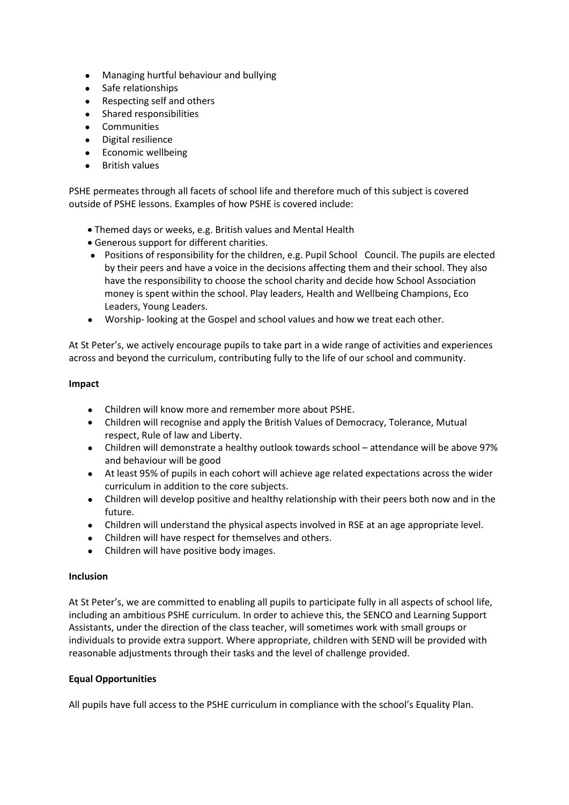- Managing hurtful behaviour and bullying
- Safe relationships
- Respecting self and others
- Shared responsibilities
- **•** Communities
- Digital resilience
- Economic wellbeing
- **•** British values

PSHE permeates through all facets of school life and therefore much of this subject is covered outside of PSHE lessons. Examples of how PSHE is covered include:

- Themed days or weeks, e.g. British values and Mental Health
- Generous support for different charities.
- Positions of responsibility for the children, e.g. Pupil School Council. The pupils are elected by their peers and have a voice in the decisions affecting them and their school. They also have the responsibility to choose the school charity and decide how School Association money is spent within the school. Play leaders, Health and Wellbeing Champions, Eco Leaders, Young Leaders.
- Worship- looking at the Gospel and school values and how we treat each other.

At St Peter's, we actively encourage pupils to take part in a wide range of activities and experiences across and beyond the curriculum, contributing fully to the life of our school and community.

#### **Impact**

- Children will know more and remember more about PSHE.
- Children will recognise and apply the British Values of Democracy, Tolerance, Mutual respect, Rule of law and Liberty.
- Children will demonstrate a healthy outlook towards school attendance will be above 97% and behaviour will be good
- At least 95% of pupils in each cohort will achieve age related expectations across the wider curriculum in addition to the core subjects.
- Children will develop positive and healthy relationship with their peers both now and in the future.
- Children will understand the physical aspects involved in RSE at an age appropriate level.
- Children will have respect for themselves and others.
- Children will have positive body images.

#### **Inclusion**

At St Peter's, we are committed to enabling all pupils to participate fully in all aspects of school life, including an ambitious PSHE curriculum. In order to achieve this, the SENCO and Learning Support Assistants, under the direction of the class teacher, will sometimes work with small groups or individuals to provide extra support. Where appropriate, children with SEND will be provided with reasonable adjustments through their tasks and the level of challenge provided.

#### **Equal Opportunities**

All pupils have full access to the PSHE curriculum in compliance with the school's Equality Plan.